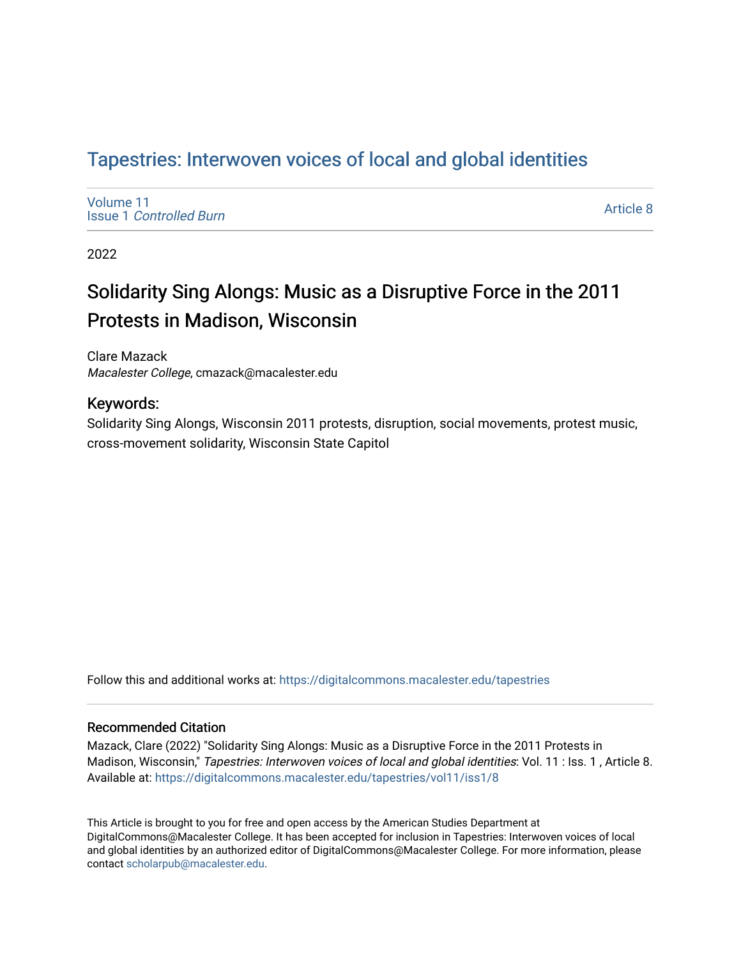## Tapestries: Interwoven voices of local and global identities

[Volume 11](https://digitalcommons.macalester.edu/tapestries/vol11) Issue 1 [Controlled Burn](https://digitalcommons.macalester.edu/tapestries/vol11/iss1) 

[Article 8](https://digitalcommons.macalester.edu/tapestries/vol11/iss1/8) 

2022

## Solidarity Sing Alongs: Music as a Disruptive Force in the 2011 Protests in Madison, Wisconsin

Clare Mazack Macalester College, cmazack@macalester.edu

### Keywords:

Solidarity Sing Alongs, Wisconsin 2011 protests, disruption, social movements, protest music, cross-movement solidarity, Wisconsin State Capitol

Follow this and additional works at: [https://digitalcommons.macalester.edu/tapestries](https://digitalcommons.macalester.edu/tapestries?utm_source=digitalcommons.macalester.edu%2Ftapestries%2Fvol11%2Fiss1%2F8&utm_medium=PDF&utm_campaign=PDFCoverPages) 

#### Recommended Citation

Mazack, Clare (2022) "Solidarity Sing Alongs: Music as a Disruptive Force in the 2011 Protests in Madison, Wisconsin," Tapestries: Interwoven voices of local and global identities: Vol. 11 : Iss. 1, Article 8. Available at: [https://digitalcommons.macalester.edu/tapestries/vol11/iss1/8](https://digitalcommons.macalester.edu/tapestries/vol11/iss1/8?utm_source=digitalcommons.macalester.edu%2Ftapestries%2Fvol11%2Fiss1%2F8&utm_medium=PDF&utm_campaign=PDFCoverPages)

This Article is brought to you for free and open access by the American Studies Department at DigitalCommons@Macalester College. It has been accepted for inclusion in Tapestries: Interwoven voices of local and global identities by an authorized editor of DigitalCommons@Macalester College. For more information, please contact [scholarpub@macalester.edu.](mailto:scholarpub@macalester.edu)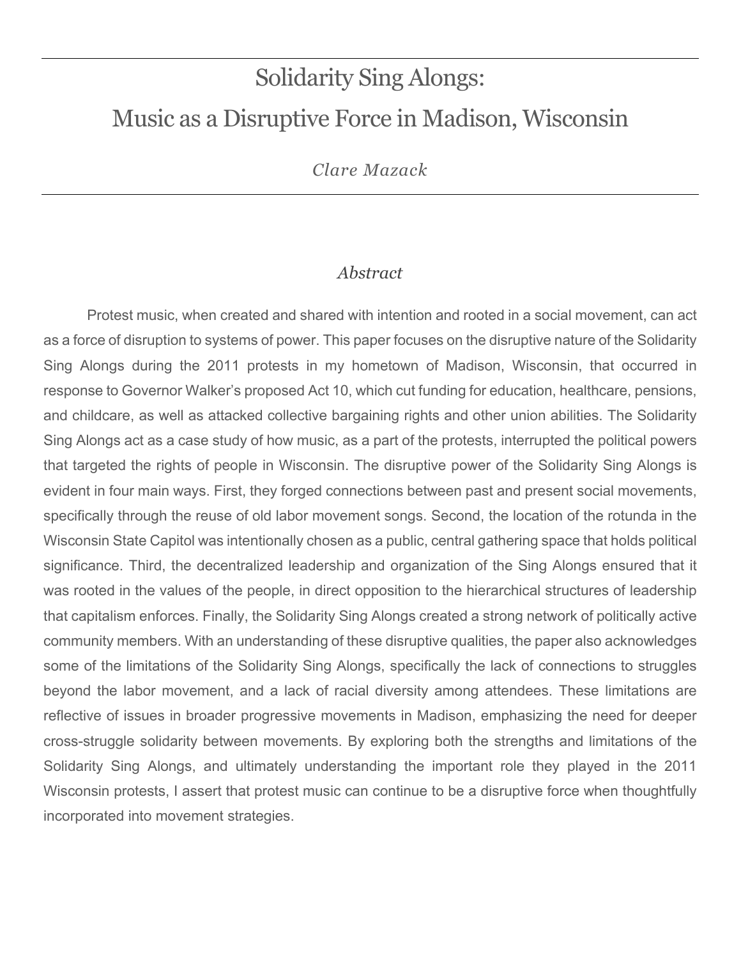# Solidarity Sing Alongs: Music as a Disruptive Force in Madison, Wisconsin

*Clare Mazack*

## *Abstract*

Protest music, when created and shared with intention and rooted in a social movement, can act as a force of disruption to systems of power. This paper focuses on the disruptive nature of the Solidarity Sing Alongs during the 2011 protests in my hometown of Madison, Wisconsin, that occurred in response to Governor Walker's proposed Act 10, which cut funding for education, healthcare, pensions, and childcare, as well as attacked collective bargaining rights and other union abilities. The Solidarity Sing Alongs act as a case study of how music, as a part of the protests, interrupted the political powers that targeted the rights of people in Wisconsin. The disruptive power of the Solidarity Sing Alongs is evident in four main ways. First, they forged connections between past and present social movements, specifically through the reuse of old labor movement songs. Second, the location of the rotunda in the Wisconsin State Capitol was intentionally chosen as a public, central gathering space that holds political significance. Third, the decentralized leadership and organization of the Sing Alongs ensured that it was rooted in the values of the people, in direct opposition to the hierarchical structures of leadership that capitalism enforces. Finally, the Solidarity Sing Alongs created a strong network of politically active community members. With an understanding of these disruptive qualities, the paper also acknowledges some of the limitations of the Solidarity Sing Alongs, specifically the lack of connections to struggles beyond the labor movement, and a lack of racial diversity among attendees. These limitations are reflective of issues in broader progressive movements in Madison, emphasizing the need for deeper cross-struggle solidarity between movements. By exploring both the strengths and limitations of the Solidarity Sing Alongs, and ultimately understanding the important role they played in the 2011 Wisconsin protests, I assert that protest music can continue to be a disruptive force when thoughtfully incorporated into movement strategies.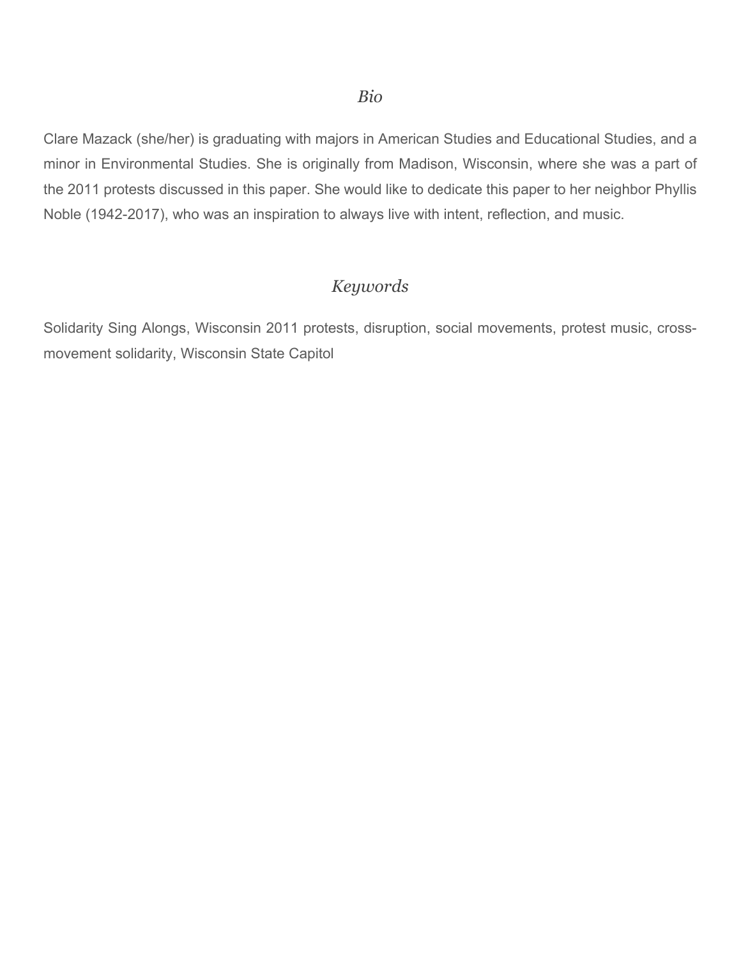Clare Mazack (she/her) is graduating with majors in American Studies and Educational Studies, and a minor in Environmental Studies. She is originally from Madison, Wisconsin, where she was a part of the 2011 protests discussed in this paper. She would like to dedicate this paper to her neighbor Phyllis Noble (1942-2017), who was an inspiration to always live with intent, reflection, and music.

## *Keywords*

Solidarity Sing Alongs, Wisconsin 2011 protests, disruption, social movements, protest music, crossmovement solidarity, Wisconsin State Capitol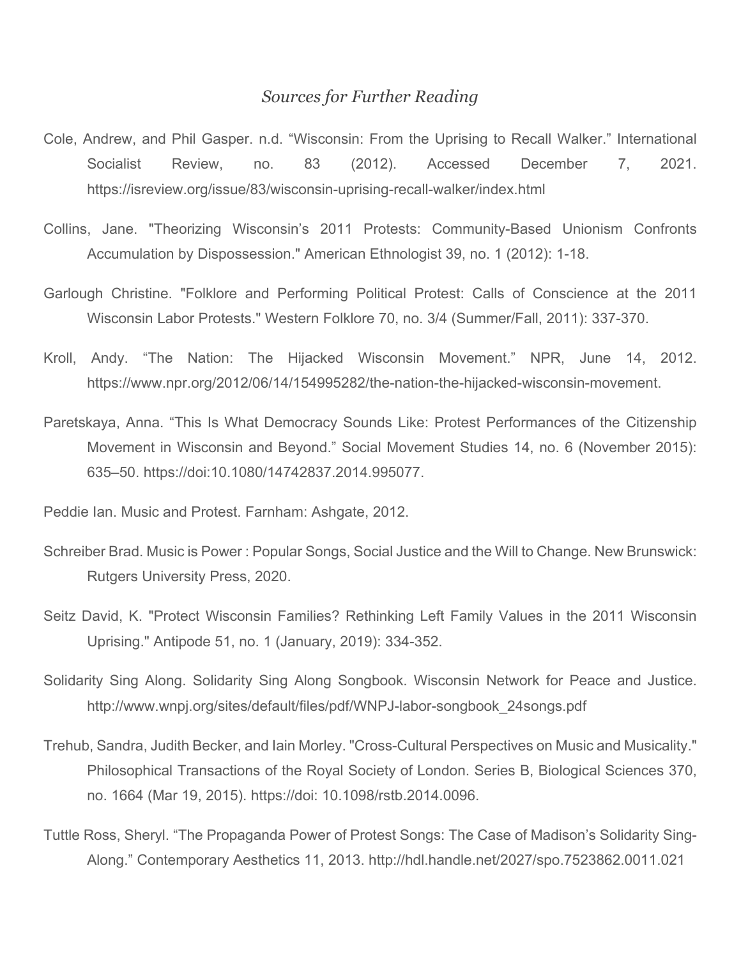### *Sources for Further Reading*

- Cole, Andrew, and Phil Gasper. n.d. "Wisconsin: From the Uprising to Recall Walker." International Socialist Review, no. 83 (2012). Accessed December 7, 2021[.](https://isreview.org/issue/83/wisconsin-uprising-recall-walker/index.html) <https://isreview.org/issue/83/wisconsin-uprising-recall-walker/index.html>
- Collins, Jane. "Theorizing Wisconsin's 2011 Protests: Community-Based Unionism Confronts Accumulation by Dispossession." American Ethnologist 39, no. 1 (2012): 1-18.
- Garlough Christine. "Folklore and Performing Political Protest: Calls of Conscience at the 2011 Wisconsin Labor Protests." Western Folklore 70, no. 3/4 (Summer/Fall, 2011): 337-370.
- Kroll, Andy. "The Nation: The Hijacked Wisconsin Movement." NPR, June 14, 2012. https://www.npr.org/2012/06/14/154995282/the-nation-the-hijacked-wisconsin-movement.
- Paretskaya, Anna. "This Is What Democracy Sounds Like: Protest Performances of the Citizenship Movement in Wisconsin and Beyond." Social Movement Studies 14, no. 6 (November 2015): 635–50. https://doi:10.1080/14742837.2014.995077.
- Peddie Ian. Music and Protest. Farnham: Ashgate, 2012.
- Schreiber Brad. Music is Power : Popular Songs, Social Justice and the Will to Change. New Brunswick: Rutgers University Press, 2020.
- Seitz David, K. "Protect Wisconsin Families? Rethinking Left Family Values in the 2011 Wisconsin Uprising." Antipode 51, no. 1 (January, 2019): 334-352.
- Solidarity Sing Along. Solidarity Sing Along Songbook. Wisconsin Network for Peace and Justice. [http://www.wnpj.org/sites/default/files/pdf/WNPJ-labor-songbook\\_24songs.pdf](http://www.wnpj.org/sites/default/files/pdf/WNPJ-labor-songbook_24songs.pdf)
- Trehub, Sandra, Judith Becker, and Iain Morley. "Cross-Cultural Perspectives on Music and Musicality." Philosophical Transactions of the Royal Society of London. Series B, Biological Sciences 370, no. 1664 (Mar 19, 2015). https://doi: [10.1098/rstb.2014.0096.](https://dx.doi.org/10.1098%2Frstb.2014.0096)
- Tuttle Ross, Sheryl. "The Propaganda Power of Protest Songs: The Case of Madison's Solidarity Sing-Along." Contemporary Aesthetics 11, 2013.<http://hdl.handle.net/2027/spo.7523862.0011.021>